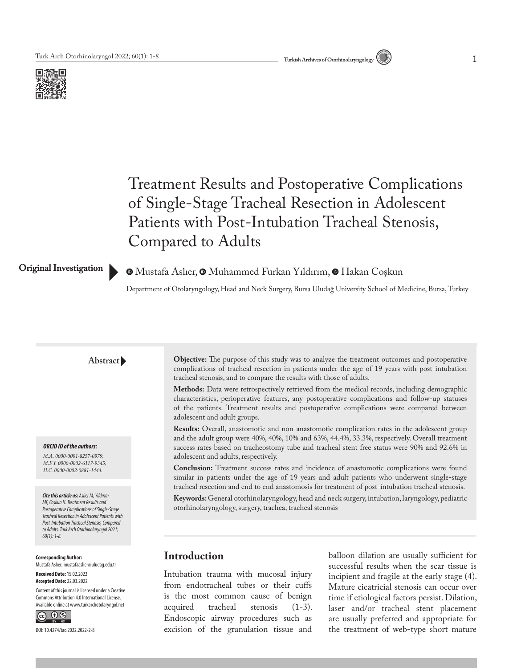



# Treatment Results and Postoperative Complications of Single-Stage Tracheal Resection in Adolescent Patients with Post-Intubation Tracheal Stenosis, Compared to Adults

#### **Original Investigation**

## $\bullet$ Mustafa Aslıer[,](https://orcid.org/0000-0002-0881-1444)  $\bullet$  Muhammed Furkan Yıldırım,  $\bullet$  Hakan Coşkun

Department of Otolaryngology, Head and Neck Surgery, Bursa Uludağ University School of Medicine, Bursa, Turkey

#### **Abstract**

#### *ORCID ID of the authors:*

*M.A. 0000-0001-8257-0979; M.F.Y. 0000-0002-6117-9345; H.C. 0000-0002-0881-1444.*

#### *Cite this article as: Aslıer M, Yıldırım MF, Coşkun H. Treatment Results and*

*Postoperative Complications of Single-Stage Tracheal Resection in Adolescent Patients with Post-Intubation Tracheal Stenosis, Compared to Adults. Turk Arch Otorhinolaryngol 2021; 60(1): 1-8.*

#### **Corresponding Author:**  Mustafa Aslıer; mustafaaslier@uludag.edu.tr

**Received Date:** 15.02.2022 **Accepted Date:** 22.03.2022

Content of this journal is licensed under a Creative Commons Attribution 4.0 International License. Available online at www.turkarchotolaryngol.net



DOI: 10.4274/tao.2022.2022-2-8

**Objective:** The purpose of this study was to analyze the treatment outcomes and postoperative complications of tracheal resection in patients under the age of 19 years with post-intubation tracheal stenosis, and to compare the results with those of adults.

**Methods:** Data were retrospectively retrieved from the medical records, including demographic characteristics, perioperative features, any postoperative complications and follow-up statuses of the patients. Treatment results and postoperative complications were compared between adolescent and adult groups.

**Results:** Overall, anastomotic and non-anastomotic complication rates in the adolescent group and the adult group were 40%, 40%, 10% and 63%, 44.4%, 33.3%, respectively. Overall treatment success rates based on tracheostomy tube and tracheal stent free status were 90% and 92.6% in adolescent and adults, respectively.

**Conclusion:** Treatment success rates and incidence of anastomotic complications were found similar in patients under the age of 19 years and adult patients who underwent single-stage tracheal resection and end to end anastomosis for treatment of post-intubation tracheal stenosis.

**Keywords:** General otorhinolaryngology, head and neck surgery, intubation, laryngology, pediatric otorhinolaryngology, surgery, trachea, tracheal stenosis

# **Introduction**

Intubation trauma with mucosal injury from endotracheal tubes or their cuffs is the most common cause of benign acquired tracheal stenosis (1-3). Endoscopic airway procedures such as excision of the granulation tissue and balloon dilation are usually sufficient for successful results when the scar tissue is incipient and fragile at the early stage (4). Mature cicatricial stenosis can occur over time if etiological factors persist. Dilation, laser and/or tracheal stent placement are usually preferred and appropriate for the treatment of web-type short mature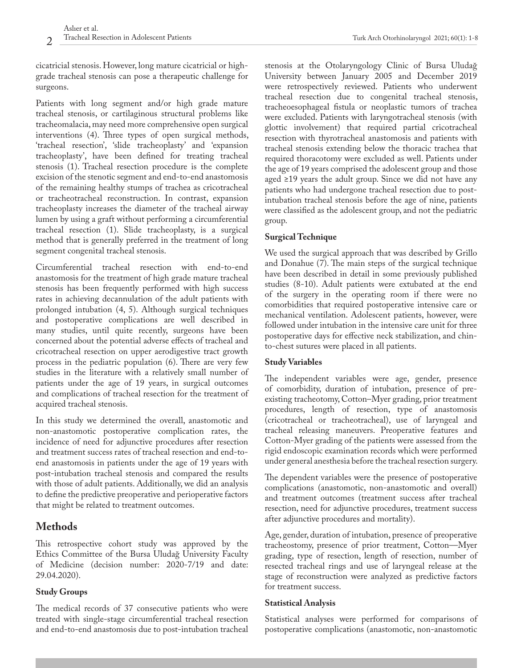cicatricial stenosis. However, long mature cicatricial or highgrade tracheal stenosis can pose a therapeutic challenge for surgeons.

Patients with long segment and/or high grade mature tracheal stenosis, or cartilaginous structural problems like tracheomalacia, may need more comprehensive open surgical interventions (4). Three types of open surgical methods, 'tracheal resection', 'slide tracheoplasty' and 'expansion tracheoplasty', have been defined for treating tracheal stenosis (1). Tracheal resection procedure is the complete excision of the stenotic segment and end-to-end anastomosis of the remaining healthy stumps of trachea as cricotracheal or tracheotracheal reconstruction. In contrast, expansion tracheoplasty increases the diameter of the tracheal airway lumen by using a graft without performing a circumferential tracheal resection (1). Slide tracheoplasty, is a surgical method that is generally preferred in the treatment of long segment congenital tracheal stenosis.

Circumferential tracheal resection with end-to-end anastomosis for the treatment of high grade mature tracheal stenosis has been frequently performed with high success rates in achieving decannulation of the adult patients with prolonged intubation (4, 5). Although surgical techniques and postoperative complications are well described in many studies, until quite recently, surgeons have been concerned about the potential adverse effects of tracheal and cricotracheal resection on upper aerodigestive tract growth process in the pediatric population (6). There are very few studies in the literature with a relatively small number of patients under the age of 19 years, in surgical outcomes and complications of tracheal resection for the treatment of acquired tracheal stenosis.

In this study we determined the overall, anastomotic and non-anastomotic postoperative complication rates, the incidence of need for adjunctive procedures after resection and treatment success rates of tracheal resection and end-toend anastomosis in patients under the age of 19 years with post-intubation tracheal stenosis and compared the results with those of adult patients. Additionally, we did an analysis to define the predictive preoperative and perioperative factors that might be related to treatment outcomes.

# **Methods**

This retrospective cohort study was approved by the Ethics Committee of the Bursa Uludağ University Faculty of Medicine (decision number: 2020-7/19 and date: 29.04.2020).

# **Study Groups**

The medical records of 37 consecutive patients who were treated with single-stage circumferential tracheal resection and end-to-end anastomosis due to post-intubation tracheal

stenosis at the Otolaryngology Clinic of Bursa Uludağ University between January 2005 and December 2019 were retrospectively reviewed. Patients who underwent tracheal resection due to congenital tracheal stenosis, tracheoesophageal fistula or neoplastic tumors of trachea were excluded. Patients with laryngotracheal stenosis (with glottic involvement) that required partial cricotracheal resection with thyrotracheal anastomosis and patients with tracheal stenosis extending below the thoracic trachea that required thoracotomy were excluded as well. Patients under the age of 19 years comprised the adolescent group and those

aged ≥19 years the adult group. Since we did not have any patients who had undergone tracheal resection due to postintubation tracheal stenosis before the age of nine, patients were classified as the adolescent group, and not the pediatric group.

# **Surgical Technique**

We used the surgical approach that was described by Grillo and Donahue (7). The main steps of the surgical technique have been described in detail in some previously published studies (8-10). Adult patients were extubated at the end of the surgery in the operating room if there were no comorbidities that required postoperative intensive care or mechanical ventilation. Adolescent patients, however, were followed under intubation in the intensive care unit for three postoperative days for effective neck stabilization, and chinto-chest sutures were placed in all patients.

# **Study Variables**

The independent variables were age, gender, presence of comorbidity, duration of intubation, presence of preexisting tracheotomy, Cotton–Myer grading, prior treatment procedures, length of resection, type of anastomosis (cricotracheal or tracheotracheal), use of laryngeal and tracheal releasing maneuvers. Preoperative features and Cotton-Myer grading of the patients were assessed from the rigid endoscopic examination records which were performed under general anesthesia before the tracheal resection surgery.

The dependent variables were the presence of postoperative complications (anastomotic, non-anastomotic and overall) and treatment outcomes (treatment success after tracheal resection, need for adjunctive procedures, treatment success after adjunctive procedures and mortality).

Age, gender, duration of intubation, presence of preoperative tracheostomy, presence of prior treatment, Cotton––Myer grading, type of resection, length of resection, number of resected tracheal rings and use of laryngeal release at the stage of reconstruction were analyzed as predictive factors for treatment success.

# **Statistical Analysis**

Statistical analyses were performed for comparisons of postoperative complications (anastomotic, non-anastomotic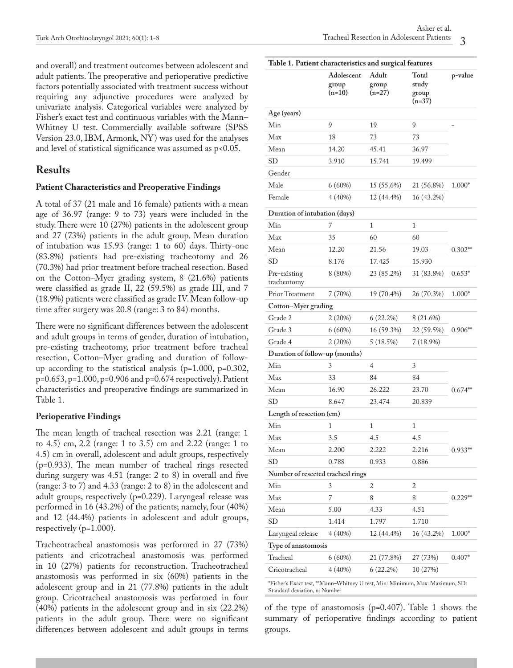and overall) and treatment outcomes between adolescent and adult patients. The preoperative and perioperative predictive factors potentially associated with treatment success without requiring any adjunctive procedures were analyzed by univariate analysis. Categorical variables were analyzed by Fisher's exact test and continuous variables with the Mann– Whitney U test. Commercially available software (SPSS Version 23.0, IBM, Armonk, NY) was used for the analyses and level of statistical significance was assumed as p<0.05.

# **Results**

### **Patient Characteristics and Preoperative Findings**

A total of 37 (21 male and 16 female) patients with a mean age of 36.97 (range: 9 to 73) years were included in the study. There were 10 (27%) patients in the adolescent group and 27 (73%) patients in the adult group. Mean duration of intubation was 15.93 (range: 1 to 60) days. Thirty-one (83.8%) patients had pre-existing tracheotomy and 26 (70.3%) had prior treatment before tracheal resection. Based on the Cotton–Myer grading system, 8 (21.6%) patients were classified as grade II, 22 (59.5%) as grade III, and 7 (18.9%) patients were classified as grade IV. Mean follow-up time after surgery was 20.8 (range: 3 to 84) months.

There were no significant differences between the adolescent and adult groups in terms of gender, duration of intubation, pre-existing tracheotomy, prior treatment before tracheal resection, Cotton–Myer grading and duration of followup according to the statistical analysis (p=1.000, p=0.302, p=0.653, p=1.000, p=0.906 and p=0.674 respectively). Patient characteristics and preoperative findings are summarized in Table 1.

### **Perioperative Findings**

The mean length of tracheal resection was 2.21 (range: 1 to 4.5) cm, 2.2 (range: 1 to 3.5) cm and 2.22 (range: 1 to 4.5) cm in overall, adolescent and adult groups, respectively (p=0.933). The mean number of tracheal rings resected during surgery was 4.51 (range: 2 to 8) in overall and five (range: 3 to 7) and 4.33 (range: 2 to 8) in the adolescent and adult groups, respectively (p=0.229). Laryngeal release was performed in 16 (43.2%) of the patients; namely, four (40%) and 12 (44.4%) patients in adolescent and adult groups, respectively (p=1.000).

Tracheotracheal anastomosis was performed in 27 (73%) patients and cricotracheal anastomosis was performed in 10 (27%) patients for reconstruction. Tracheotracheal anastomosis was performed in six (60%) patients in the adolescent group and in 21 (77.8%) patients in the adult group. Cricotracheal anastomosis was performed in four (40%) patients in the adolescent group and in six (22.2%) patients in the adult group. There were no significant differences between adolescent and adult groups in terms

| Table 1. Patient characteristics and surgical features |                                 |                            |                                     |           |  |  |  |
|--------------------------------------------------------|---------------------------------|----------------------------|-------------------------------------|-----------|--|--|--|
|                                                        | Adolescent<br>group<br>$(n=10)$ | Adult<br>group<br>$(n=27)$ | Total<br>study<br>group<br>$(n=37)$ | p-value   |  |  |  |
| Age (years)                                            |                                 |                            |                                     |           |  |  |  |
| Min                                                    | 9                               | 19                         | 9                                   |           |  |  |  |
| Max                                                    | 18                              | 73                         | 73                                  |           |  |  |  |
| Mean                                                   | 14.20                           | 45.41                      | 36.97                               |           |  |  |  |
| <b>SD</b>                                              | 3.910                           | 15.741                     | 19.499                              |           |  |  |  |
| Gender                                                 |                                 |                            |                                     |           |  |  |  |
| Male                                                   | $6(60\%)$                       | 15 (55.6%)                 | 21 (56.8%)                          | $1.000*$  |  |  |  |
| Female                                                 | $4(40\%)$                       | 12 (44.4%)                 | 16 (43.2%)                          |           |  |  |  |
| Duration of intubation (days)                          |                                 |                            |                                     |           |  |  |  |
| Min                                                    | 7                               | 1                          | 1                                   |           |  |  |  |
| Max                                                    | 35                              | 60                         | 60                                  |           |  |  |  |
| Mean                                                   | 12.20                           | 21.56                      | 19.03                               | $0.302**$ |  |  |  |
| <b>SD</b>                                              | 8.176                           | 17.425                     | 15.930                              |           |  |  |  |
| Pre-existing<br>tracheotomy                            | 8(80%)                          | 23 (85.2%)                 | 31 (83.8%)                          | $0.653*$  |  |  |  |
| Prior Treatment                                        | 7(70%)                          | 19 (70.4%)                 | 26 (70.3%)                          | $1.000*$  |  |  |  |
| Cotton-Myer grading                                    |                                 |                            |                                     |           |  |  |  |
| Grade 2                                                | 2(20%)                          | $6(22.2\%)$                | 8 (21.6%)                           |           |  |  |  |
| Grade 3                                                | $6(60\%)$                       | 16 (59.3%)                 | 22 (59.5%)                          | $0.906**$ |  |  |  |
| Grade 4                                                | 2(20%)                          | 5(18.5%)                   | $7(18.9\%)$                         |           |  |  |  |
| Duration of follow-up (months)                         |                                 |                            |                                     |           |  |  |  |
| Min                                                    | 3                               | 4                          | 3                                   |           |  |  |  |
| Max                                                    | 33                              | 84                         | 84                                  |           |  |  |  |
| Mean                                                   | 16.90                           | 26.222                     | 23.70                               | $0.674**$ |  |  |  |
| SD                                                     | 8.647                           | 23.474                     | 20.839                              |           |  |  |  |
| Length of resection (cm)                               |                                 |                            |                                     |           |  |  |  |
| Min                                                    | 1                               | 1                          | 1                                   |           |  |  |  |
| Max                                                    | 3.5                             | 4.5                        | 4.5                                 |           |  |  |  |
| Mean                                                   | 2.200                           | 2.222                      | 2.216                               | $0.933**$ |  |  |  |
| <b>SD</b>                                              | 0.788                           | 0.933                      | 0.886                               |           |  |  |  |
| Number of resected tracheal rings                      |                                 |                            |                                     |           |  |  |  |
| Min                                                    | 3                               | 2                          | 2                                   |           |  |  |  |
| Max                                                    | 7                               | 8                          | 8                                   | $0.229**$ |  |  |  |
| Mean                                                   | 5.00                            | 4.33                       | 4.51                                |           |  |  |  |
| <b>SD</b>                                              | 1.414                           | 1.797                      | 1.710                               |           |  |  |  |
| Laryngeal release                                      | 4(40%)                          | 12 (44.4%)                 | 16 (43.2%)                          | $1.000*$  |  |  |  |
| Type of anastomosis                                    |                                 |                            |                                     |           |  |  |  |
| Tracheal                                               | 6(60%)                          | 21 (77.8%)                 | 27 (73%)                            | $0.407*$  |  |  |  |
| Cricotracheal                                          | 4(40%)                          | $6(22.2\%)$                | 10 (27%)                            |           |  |  |  |
|                                                        |                                 |                            |                                     |           |  |  |  |

\*Fisher's Exact test, \*\*Mann–Whitney U test, Min: Minimum, Max: Maximum, SD: Standard deviation, n: Number

of the type of anastomosis (p=0.407). Table 1 shows the summary of perioperative findings according to patient groups.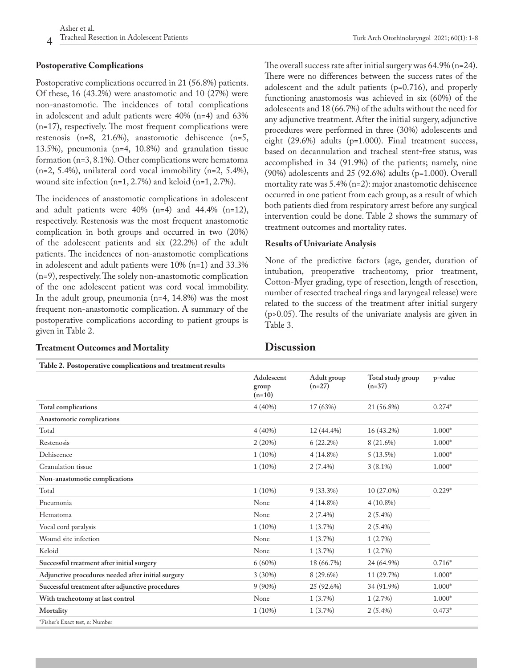# **Postoperative Complications**

Postoperative complications occurred in 21 (56.8%) patients. Of these, 16 (43.2%) were anastomotic and 10 (27%) were non-anastomotic. The incidences of total complications in adolescent and adult patients were 40% (n=4) and 63% (n=17), respectively. The most frequent complications were restenosis (n=8, 21.6%), anastomotic dehiscence (n=5, 13.5%), pneumonia (n=4, 10.8%) and granulation tissue formation (n=3, 8.1%). Other complications were hematoma (n=2, 5.4%), unilateral cord vocal immobility (n=2, 5.4%), wound site infection  $(n=1, 2.7\%)$  and keloid  $(n=1, 2.7\%)$ .

The incidences of anastomotic complications in adolescent and adult patients were  $40\%$  (n=4) and  $44.4\%$  (n=12), respectively. Restenosis was the most frequent anastomotic complication in both groups and occurred in two (20%) of the adolescent patients and six (22.2%) of the adult patients. The incidences of non-anastomotic complications in adolescent and adult patients were 10% (n=1) and 33.3% (n=9), respectively. The solely non-anastomotic complication of the one adolescent patient was cord vocal immobility. In the adult group, pneumonia (n=4, 14.8%) was the most frequent non-anastomotic complication. A summary of the postoperative complications according to patient groups is given in Table 2.

#### **Treatment Outcomes and Mortality**

**Table 2. Postoperative complications and treatment results**

The overall success rate after initial surgery was 64.9% (n=24). There were no differences between the success rates of the adolescent and the adult patients (p=0.716), and properly functioning anastomosis was achieved in six (60%) of the adolescents and 18 (66.7%) of the adults without the need for any adjunctive treatment. After the initial surgery, adjunctive procedures were performed in three (30%) adolescents and eight (29.6%) adults (p=1.000). Final treatment success, based on decannulation and tracheal stent-free status, was accomplished in 34 (91.9%) of the patients; namely, nine (90%) adolescents and 25 (92.6%) adults (p=1.000). Overall mortality rate was 5.4% (n=2): major anastomotic dehiscence occurred in one patient from each group, as a result of which both patients died from respiratory arrest before any surgical intervention could be done. Table 2 shows the summary of treatment outcomes and mortality rates.

### **Results of Univariate Analysis**

None of the predictive factors (age, gender, duration of intubation, preoperative tracheotomy, prior treatment, Cotton-Myer grading, type of resection, length of resection, number of resected tracheal rings and laryngeal release) were related to the success of the treatment after initial surgery (p>0.05). The results of the univariate analysis are given in Table 3.

# **Discussion**

| Table 2. I ostoperative complications and treatment results |                                 |                         |                               |              |
|-------------------------------------------------------------|---------------------------------|-------------------------|-------------------------------|--------------|
|                                                             | Adolescent<br>group<br>$(n=10)$ | Adult group<br>$(n=27)$ | Total study group<br>$(n=37)$ | p-value      |
| <b>Total complications</b>                                  | 4(40%)                          | 17 (63%)                | 21 (56.8%)                    | $0.274*$     |
| Anastomotic complications                                   |                                 |                         |                               |              |
| Total                                                       | 4(40%)                          | 12 (44.4%)              | 16 (43.2%)                    | $1.000*$     |
| Restenosis                                                  | 2(20%)                          | $6(22.2\%)$             | 8 (21.6%)                     | $1.000*$     |
| Dehiscence                                                  | $1(10\%)$                       | $4(14.8\%)$             | $5(13.5\%)$                   | $1.000*$     |
| Granulation tissue                                          | $1(10\%)$                       | $2(7.4\%)$              | $3(8.1\%)$                    | $1.000*$     |
| Non-anastomotic complications                               |                                 |                         |                               |              |
| Total                                                       | $1(10\%)$                       | $9(33.3\%)$             | 10 (27.0%)                    | $0.229*$     |
| Pneumonia                                                   | None                            | $4(14.8\%)$             | $4(10.8\%)$                   |              |
| Hematoma                                                    | None                            | $2(7.4\%)$              | $2(5.4\%)$                    |              |
| Vocal cord paralysis                                        | $1(10\%)$                       | $1(3.7\%)$              | $2(5.4\%)$                    |              |
| Wound site infection                                        | None                            | 1(3.7%)                 | 1(2.7%)                       |              |
| Keloid                                                      | None                            | 1(3.7%)                 | 1(2.7%)                       |              |
| Successful treatment after initial surgery                  | 6(60%)                          | 18 (66.7%)              | 24 (64.9%)                    | $0.716*$     |
| Adjunctive procedures needed after initial surgery          | 3(30%)                          | 8 (29.6%)               | 11 (29.7%)                    | $1.000^\ast$ |
| Successful treatment after adjunctive procedures            | $9(90\%)$                       | 25 (92.6%)              | 34 (91.9%)                    | $1.000*$     |
| With tracheotomy at last control                            | None                            | $1(3.7\%)$              | 1(2.7%)                       | $1.000*$     |
| Mortality                                                   | $1(10\%)$                       | 1(3.7%)                 | $2(5.4\%)$                    | $0.473*$     |
| *Fisher's Exact test, n: Number                             |                                 |                         |                               |              |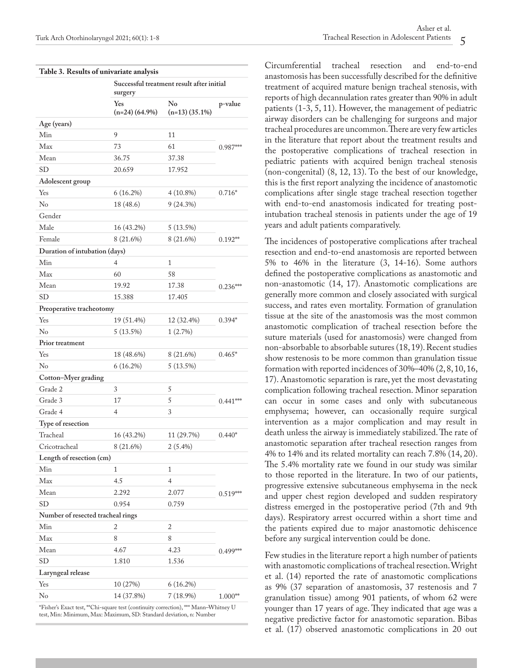| Table 3. Results of univariate analysis |                                                      |                        |            |  |  |
|-----------------------------------------|------------------------------------------------------|------------------------|------------|--|--|
|                                         | Successful treatment result after initial<br>surgery |                        |            |  |  |
|                                         | Yes<br>$(n=24)$ (64.9%)                              | No<br>$(n=13)$ (35.1%) | p-value    |  |  |
| Age (years)                             |                                                      |                        |            |  |  |
| Min                                     | 9                                                    | 11                     | $0.987***$ |  |  |
| Max                                     | 73                                                   | 61                     |            |  |  |
| Mean                                    | 36.75                                                | 37.38                  |            |  |  |
| <b>SD</b>                               | 20.659                                               | 17.952                 |            |  |  |
| Adolescent group                        |                                                      |                        |            |  |  |
| Yes                                     | $6(16.2\%)$                                          | $4(10.8\%)$            | $0.716*$   |  |  |
| N <sub>o</sub>                          | 18 (48.6)                                            | 9(24.3%)               |            |  |  |
| Gender                                  |                                                      |                        |            |  |  |
| Male                                    | 16 (43.2%)                                           | 5(13.5%)               |            |  |  |
| Female                                  | 8 (21.6%)                                            | 8 (21.6%)              | $0.192**$  |  |  |
| Duration of intubation (days)           |                                                      |                        |            |  |  |
| Min                                     | 4                                                    | $\mathbf{1}$           |            |  |  |
| Max                                     | 60                                                   | 58                     |            |  |  |
| Mean                                    | 19.92                                                | 17.38                  | $0.236***$ |  |  |
| SD                                      | 15.388                                               | 17.405                 |            |  |  |
| Preoperative tracheotomy                |                                                      |                        |            |  |  |
| Yes                                     | 19 (51.4%)                                           | 12 (32.4%)             | $0.394*$   |  |  |
| $\rm No$                                | 5 (13.5%)                                            | 1(2.7%)                |            |  |  |
| Prior treatment                         |                                                      |                        |            |  |  |
| Yes                                     | 18 (48.6%)                                           | 8 (21.6%)              | $0.465*$   |  |  |
| $\rm No$                                | $6(16.2\%)$                                          | 5(13.5%)               |            |  |  |
| Cotton-Myer grading                     |                                                      |                        |            |  |  |
| Grade 2                                 | 3                                                    | 5                      |            |  |  |
| Grade 3                                 | 17                                                   | 5                      | $0.441***$ |  |  |
| Grade 4                                 | $\overline{4}$                                       | 3                      |            |  |  |
| Type of resection                       |                                                      |                        |            |  |  |
| Tracheal                                | 16 (43.2%)                                           | 11 (29.7%)             | $0.440*$   |  |  |
| Cricotracheal                           | 8 (21.6%)                                            | $2(5.4\%)$             |            |  |  |
| Length of resection (cm)                |                                                      |                        |            |  |  |
| Min                                     | 1                                                    | $\mathbf{1}$           |            |  |  |
| Max                                     | 4.5                                                  | $\overline{4}$         | $0.519***$ |  |  |
| Mean                                    | 2.292                                                | 2.077                  |            |  |  |
| <b>SD</b>                               | 0.954                                                | 0.759                  |            |  |  |
| Number of resected tracheal rings       |                                                      |                        |            |  |  |
| Min                                     | 2                                                    | 2                      |            |  |  |
| Max                                     | 8                                                    | 8                      | $0.499***$ |  |  |
| Mean                                    | 4.67                                                 | 4.23                   |            |  |  |
| SD                                      | 1.810                                                | 1.536                  |            |  |  |
| Laryngeal release                       |                                                      |                        |            |  |  |
| Yes                                     | 10 (27%)                                             | 6(16.2%)               |            |  |  |
| No                                      | 14 (37.8%)                                           | $7(18.9\%)$            | $1.000**$  |  |  |
|                                         |                                                      |                        |            |  |  |

\*Fisher's Exact test, \*\*Chi-square test (continuity correction), \*\*\* Mann–Whitney U test, Min: Minimum, Max: Maximum, SD: Standard deviation, n: Number

Circumferential tracheal resection and end-to-end anastomosis has been successfully described for the definitive treatment of acquired mature benign tracheal stenosis, with reports of high decannulation rates greater than 90% in adult patients (1-3, 5, 11). However, the management of pediatric airway disorders can be challenging for surgeons and major tracheal procedures are uncommon. There are very few articles in the literature that report about the treatment results and the postoperative complications of tracheal resection in pediatric patients with acquired benign tracheal stenosis (non-congenital) (8, 12, 13). To the best of our knowledge, this is the first report analyzing the incidence of anastomotic complications after single stage tracheal resection together with end-to-end anastomosis indicated for treating postintubation tracheal stenosis in patients under the age of 19 years and adult patients comparatively.

The incidences of postoperative complications after tracheal resection and end-to-end anastomosis are reported between 5% to 46% in the literature (3, 14-16). Some authors defined the postoperative complications as anastomotic and non-anastomotic (14, 17). Anastomotic complications are generally more common and closely associated with surgical success, and rates even mortality. Formation of granulation tissue at the site of the anastomosis was the most common anastomotic complication of tracheal resection before the suture materials (used for anastomosis) were changed from non-absorbable to absorbable sutures (18, 19). Recent studies show restenosis to be more common than granulation tissue formation with reported incidences of 30%–40% (2, 8, 10, 16, 17). Anastomotic separation is rare, yet the most devastating complication following tracheal resection. Minor separation can occur in some cases and only with subcutaneous emphysema; however, can occasionally require surgical intervention as a major complication and may result in death unless the airway is immediately stabilized. The rate of anastomotic separation after tracheal resection ranges from 4% to 14% and its related mortality can reach 7.8% (14, 20). The 5.4% mortality rate we found in our study was similar to those reported in the literature. In two of our patients, progressive extensive subcutaneous emphysema in the neck and upper chest region developed and sudden respiratory distress emerged in the postoperative period (7th and 9th days). Respiratory arrest occurred within a short time and the patients expired due to major anastomotic dehiscence before any surgical intervention could be done.

Few studies in the literature report a high number of patients with anastomotic complications of tracheal resection. Wright et al. (14) reported the rate of anastomotic complications as 9% (37 separation of anastomosis, 37 restenosis and 7 granulation tissue) among 901 patients, of whom 62 were younger than 17 years of age. They indicated that age was a negative predictive factor for anastomotic separation. Bibas et al. (17) observed anastomotic complications in 20 out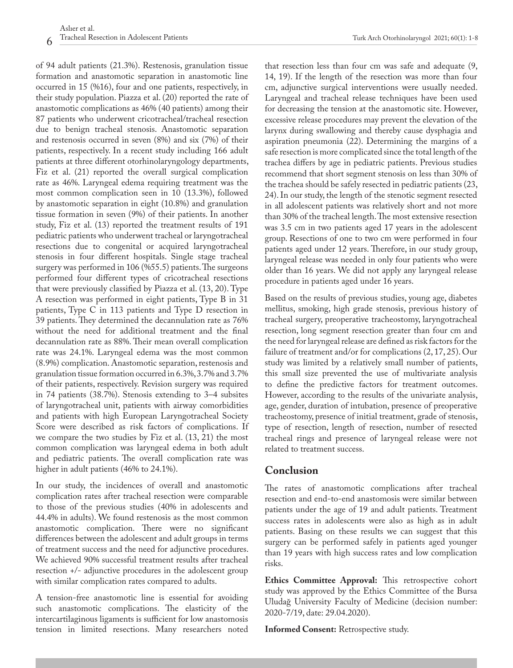of 94 adult patients (21.3%). Restenosis, granulation tissue formation and anastomotic separation in anastomotic line occurred in 15 (%16), four and one patients, respectively, in their study population. Piazza et al. (20) reported the rate of anastomotic complications as 46% (40 patients) among their 87 patients who underwent cricotracheal/tracheal resection due to benign tracheal stenosis. Anastomotic separation and restenosis occurred in seven (8%) and six (7%) of their patients, respectively. In a recent study including 166 adult patients at three different otorhinolaryngology departments, Fiz et al. (21) reported the overall surgical complication rate as 46%. Laryngeal edema requiring treatment was the most common complication seen in 10 (13.3%), followed by anastomotic separation in eight (10.8%) and granulation tissue formation in seven (9%) of their patients. In another study, Fiz et al. (13) reported the treatment results of 191 pediatric patients who underwent tracheal or laryngotracheal resections due to congenital or acquired laryngotracheal stenosis in four different hospitals. Single stage tracheal surgery was performed in 106 (%55.5) patients. The surgeons performed four different types of cricotracheal resections that were previously classified by Piazza et al. (13, 20). Type A resection was performed in eight patients, Type B in 31 patients, Type C in 113 patients and Type D resection in 39 patients. They determined the decannulation rate as 76% without the need for additional treatment and the final decannulation rate as 88%. Their mean overall complication rate was 24.1%. Laryngeal edema was the most common (8.9%) complication. Anastomotic separation, restenosis and granulation tissue formation occurred in 6.3%, 3.7% and 3.7% of their patients, respectively. Revision surgery was required in 74 patients (38.7%). Stenosis extending to 3–4 subsites of laryngotracheal unit, patients with airway comorbidities and patients with high European Laryngotracheal Society Score were described as risk factors of complications. If we compare the two studies by Fiz et al. (13, 21) the most common complication was laryngeal edema in both adult and pediatric patients. The overall complication rate was higher in adult patients (46% to 24.1%).

In our study, the incidences of overall and anastomotic complication rates after tracheal resection were comparable to those of the previous studies (40% in adolescents and 44.4% in adults). We found restenosis as the most common anastomotic complication. There were no significant differences between the adolescent and adult groups in terms of treatment success and the need for adjunctive procedures. We achieved 90% successful treatment results after tracheal resection +/- adjunctive procedures in the adolescent group with similar complication rates compared to adults.

A tension-free anastomotic line is essential for avoiding such anastomotic complications. The elasticity of the intercartilaginous ligaments is sufficient for low anastomosis tension in limited resections. Many researchers noted

that resection less than four cm was safe and adequate (9, 14, 19). If the length of the resection was more than four cm, adjunctive surgical interventions were usually needed. Laryngeal and tracheal release techniques have been used for decreasing the tension at the anastomotic site. However, excessive release procedures may prevent the elevation of the larynx during swallowing and thereby cause dysphagia and aspiration pneumonia (22). Determining the margins of a safe resection is more complicated since the total length of the trachea differs by age in pediatric patients. Previous studies recommend that short segment stenosis on less than 30% of the trachea should be safely resected in pediatric patients (23, 24). In our study, the length of the stenotic segment resected in all adolescent patients was relatively short and not more than 30% of the tracheal length. The most extensive resection was 3.5 cm in two patients aged 17 years in the adolescent group. Resections of one to two cm were performed in four patients aged under 12 years. Therefore, in our study group, laryngeal release was needed in only four patients who were older than 16 years. We did not apply any laryngeal release procedure in patients aged under 16 years.

Based on the results of previous studies, young age, diabetes mellitus, smoking, high grade stenosis, previous history of tracheal surgery, preoperative tracheostomy, laryngotracheal resection, long segment resection greater than four cm and the need for laryngeal release are defined as risk factors for the failure of treatment and/or for complications (2, 17, 25). Our study was limited by a relatively small number of patients, this small size prevented the use of multivariate analysis to define the predictive factors for treatment outcomes. However, according to the results of the univariate analysis, age, gender, duration of intubation, presence of preoperative tracheostomy, presence of initial treatment, grade of stenosis, type of resection, length of resection, number of resected tracheal rings and presence of laryngeal release were not related to treatment success.

# **Conclusion**

The rates of anastomotic complications after tracheal resection and end-to-end anastomosis were similar between patients under the age of 19 and adult patients. Treatment success rates in adolescents were also as high as in adult patients. Basing on these results we can suggest that this surgery can be performed safely in patients aged younger than 19 years with high success rates and low complication risks.

**Ethics Committee Approval:** This retrospective cohort study was approved by the Ethics Committee of the Bursa Uludağ University Faculty of Medicine (decision number: 2020-7/19, date: 29.04.2020).

**Informed Consent:** Retrospective study.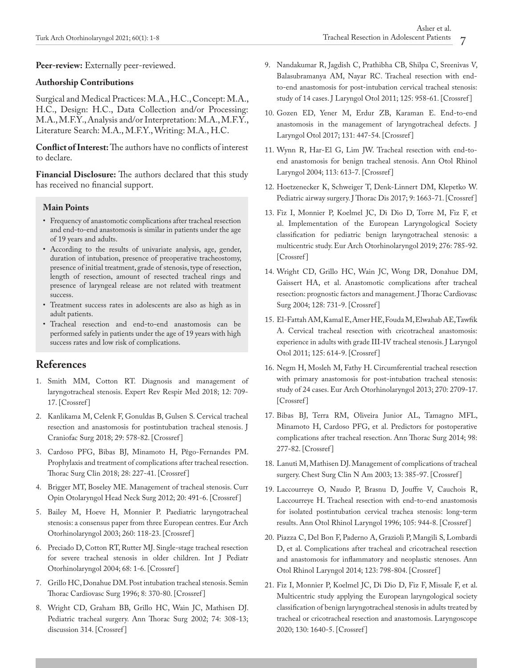**Peer-review:** Externally peer-reviewed.

#### **Authorship Contributions**

Surgical and Medical Practices: M.A., H.C., Concept: M.A., H.C., Design: H.C., Data Collection and/or Processing: M.A., M.F.Y., Analysis and/or Interpretation: M.A., M.F.Y., Literature Search: M.A., M.F.Y., Writing: M.A., H.C.

**Conflict of Interest:** The authors have no conflicts of interest to declare.

**Financial Disclosure:** The authors declared that this study has received no financial support.

#### **Main Points**

- Frequency of anastomotic complications after tracheal resection and end-to-end anastomosis is similar in patients under the age of 19 years and adults.
- According to the results of univariate analysis, age, gender, duration of intubation, presence of preoperative tracheostomy, presence of initial treatment, grade of stenosis, type of resection, length of resection, amount of resected tracheal rings and presence of laryngeal release are not related with treatment success.
- Treatment success rates in adolescents are also as high as in adult patients.
- Tracheal resection and end-to-end anastomosis can be performed safely in patients under the age of 19 years with high success rates and low risk of complications.

# **References**

- 1. Smith MM, Cotton RT. Diagnosis and management of laryngotracheal stenosis. Expert Rev Respir Med 2018; 12: 709- 17. [[Crossref](https://doi.org/10.1080/17476348.2018.1495564) ]
- 2. Kanlikama M, Celenk F, Gonuldas B, Gulsen S. Cervical tracheal resection and anastomosis for postintubation tracheal stenosis. J Craniofac Surg 2018; 29: 578-82. [[Crossref \]](https://doi.org/10.1097/SCS.0000000000004594)
- 3. Cardoso PFG, Bibas BJ, Minamoto H, Pêgo-Fernandes PM. Prophylaxis and treatment of complications after tracheal resection. Thorac Surg Clin 2018; 28: 227-41. [[Crossref](https://doi.org/10.1016/j.thorsurg.2018.01.008) ]
- 4. Brigger MT, Boseley ME. Management of tracheal stenosis. Curr Opin Otolaryngol Head Neck Surg 2012; 20: 491-6. [\[Crossref](https://doi.org/10.1097/MOO.0b013e328358566d) ]
- 5. Bailey M, Hoeve H, Monnier P. Paediatric laryngotracheal stenosis: a consensus paper from three European centres. Eur Arch Otorhinolaryngol 2003; 260: 118-23. [\[Crossref \]](https://doi.org/10.1007/s00405-002-0526-2)
- 6. Preciado D, Cotton RT, Rutter MJ. Single-stage tracheal resection for severe tracheal stenosis in older children. Int J Pediatr Otorhinolaryngol 2004; 68: 1-6. [\[Crossref \]](https://doi.org/10.1016/j.ijporl.2003.08.054)
- 7. Grillo HC, Donahue DM. Post intubation tracheal stenosis. Semin Thorac Cardiovasc Surg 1996; 8: 370-80. [\[Crossref \]](https://pubmed.ncbi.nlm.nih.gov/8899924/)
- 8. Wright CD, Graham BB, Grillo HC, Wain JC, Mathisen DJ. Pediatric tracheal surgery. Ann Thorac Surg 2002; 74: 308-13; discussion 314. [[Crossref \]](https://doi.org/10.1016/s0003-4975(02)03613-5)
- 9. Nandakumar R, Jagdish C, Prathibha CB, Shilpa C, Sreenivas V, Balasubramanya AM, Nayar RC. Tracheal resection with endto-end anastomosis for post-intubation cervical tracheal stenosis: study of 14 cases. J Laryngol Otol 2011; 125: 958-61. [\[Crossref \]](https://doi.org/10.1017/S002221511100137X)
- 10. Gozen ED, Yener M, Erdur ZB, Karaman E. End-to-end anastomosis in the management of laryngotracheal defects. J Laryngol Otol 2017; 131: 447-54. [\[Crossref \]](https://doi.org/10.1017/S0022215117000378)
- 11. Wynn R, Har-El G, Lim JW. Tracheal resection with end-toend anastomosis for benign tracheal stenosis. Ann Otol Rhinol Laryngol 2004; 113: 613-7. [\[Crossref \]](https://doi.org/10.1177/000348940411300803)
- 12. Hoetzenecker K, Schweiger T, Denk-Linnert DM, Klepetko W. Pediatric airway surgery. J Thorac Dis 2017; 9: 1663-71. [Crossref]
- 13. Fiz I, Monnier P, Koelmel JC, Di Dio D, Torre M, Fiz F, et al. Implementation of the European Laryngological Society classification for pediatric benign laryngotracheal stenosis: a multicentric study. Eur Arch Otorhinolaryngol 2019; 276: 785-92. [Crossref]
- 14. Wright CD, Grillo HC, Wain JC, Wong DR, Donahue DM, Gaissert HA, et al. Anastomotic complications after tracheal resection: prognostic factors and management. J Thorac Cardiovasc Surg 2004; 128: 731-9. [\[Crossref \]](https://doi.org/10.1016/j.jtcvs.2004.07.005)
- 15. El-Fattah AM, Kamal E, Amer HE, Fouda M, Elwahab AE, Tawfik A. Cervical tracheal resection with cricotracheal anastomosis: experience in adults with grade III-IV tracheal stenosis. J Laryngol Otol 2011; 125: 614-9. [\[Crossref \]](https://doi.org/10.1017/S0022215110002537)
- 16. Negm H, Mosleh M, Fathy H. Circumferential tracheal resection with primary anastomosis for post-intubation tracheal stenosis: study of 24 cases. Eur Arch Otorhinolaryngol 2013; 270: 2709-17. [Crossref]
- 17. Bibas BJ, Terra RM, Oliveira Junior AL, Tamagno MFL, Minamoto H, Cardoso PFG, et al. Predictors for postoperative complications after tracheal resection. Ann Thorac Surg 2014; 98: 277-82. [\[Crossref \]](https://doi.org/10.1016/j.athoracsur.2014.03.019)
- 18. Lanuti M, Mathisen DJ. Management of complications of tracheal surgery. Chest Surg Clin N Am 2003; 13: 385-97. [[Crossref \]](https://doi.org/10.1016/s1052-3359(03)00007-3)
- 19. Laccourreye O, Naudo P, Brasnu D, Jouffre V, Cauchois R, Laccourreye H. Tracheal resection with end-to-end anastomosis for isolated postintubation cervical trachea stenosis: long-term results. Ann Otol Rhinol Laryngol 1996; 105: 944-8. [[Crossref \]](https://doi.org/10.1177/000348949610501203)
- 20. Piazza C, Del Bon F, Paderno A, Grazioli P, Mangili S, Lombardi D, et al. Complications after tracheal and cricotracheal resection and anastomosis for inflammatory and neoplastic stenoses. Ann Otol Rhinol Laryngol 2014; 123: 798-804. [\[Crossref \]](https://doi.org/10.1177/0003489414538764)
- 21. Fiz I, Monnier P, Koelmel JC, Di Dio D, Fiz F, Missale F, et al. Multicentric study applying the European laryngological society classification of benign laryngotracheal stenosis in adults treated by tracheal or cricotracheal resection and anastomosis. Laryngoscope 2020; 130: 1640-5. [\[Crossref \]](https://doi.org/10.1002/lary.28274)